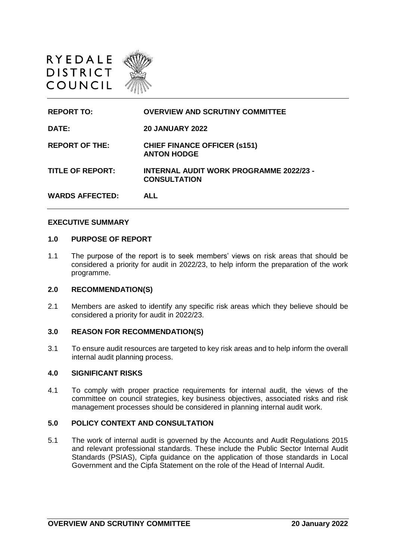

| <b>REPORT TO:</b>       | <b>OVERVIEW AND SCRUTINY COMMITTEE</b>                                |
|-------------------------|-----------------------------------------------------------------------|
| DATE:                   | <b>20 JANUARY 2022</b>                                                |
| <b>REPORT OF THE:</b>   | <b>CHIEF FINANCE OFFICER (s151)</b><br><b>ANTON HODGE</b>             |
| <b>TITLE OF REPORT:</b> | <b>INTERNAL AUDIT WORK PROGRAMME 2022/23 -</b><br><b>CONSULTATION</b> |
| <b>WARDS AFFECTED:</b>  | AI I                                                                  |

#### **EXECUTIVE SUMMARY**

#### **1.0 PURPOSE OF REPORT**

1.1 The purpose of the report is to seek members' views on risk areas that should be considered a priority for audit in 2022/23, to help inform the preparation of the work programme.

#### **2.0 RECOMMENDATION(S)**

2.1 Members are asked to identify any specific risk areas which they believe should be considered a priority for audit in 2022/23.

## **3.0 REASON FOR RECOMMENDATION(S)**

3.1 To ensure audit resources are targeted to key risk areas and to help inform the overall internal audit planning process.

#### **4.0 SIGNIFICANT RISKS**

4.1 To comply with proper practice requirements for internal audit, the views of the committee on council strategies, key business objectives, associated risks and risk management processes should be considered in planning internal audit work.

### **5.0 POLICY CONTEXT AND CONSULTATION**

5.1 The work of internal audit is governed by the Accounts and Audit Regulations 2015 and relevant professional standards. These include the Public Sector Internal Audit Standards (PSIAS), Cipfa guidance on the application of those standards in Local Government and the Cipfa Statement on the role of the Head of Internal Audit.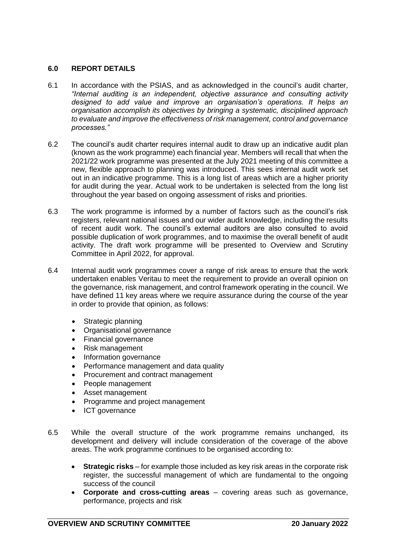# **6.0 REPORT DETAILS**

- 6.1 In accordance with the PSIAS, and as acknowledged in the council's audit charter, *"Internal auditing is an independent, objective assurance and consulting activity designed to add value and improve an organisation's operations. It helps an organisation accomplish its objectives by bringing a systematic, disciplined approach to evaluate and improve the effectiveness of risk management, control and governance processes."*
- 6.2 The council's audit charter requires internal audit to draw up an indicative audit plan (known as the work programme) each financial year. Members will recall that when the 2021/22 work programme was presented at the July 2021 meeting of this committee a new, flexible approach to planning was introduced. This sees internal audit work set out in an indicative programme. This is a long list of areas which are a higher priority for audit during the year. Actual work to be undertaken is selected from the long list throughout the year based on ongoing assessment of risks and priorities.
- 6.3 The work programme is informed by a number of factors such as the council's risk registers, relevant national issues and our wider audit knowledge, including the results of recent audit work. The council's external auditors are also consulted to avoid possible duplication of work programmes, and to maximise the overall benefit of audit activity. The draft work programme will be presented to Overview and Scrutiny Committee in April 2022, for approval.
- 6.4 Internal audit work programmes cover a range of risk areas to ensure that the work undertaken enables Veritau to meet the requirement to provide an overall opinion on the governance, risk management, and control framework operating in the council. We have defined 11 key areas where we require assurance during the course of the year in order to provide that opinion, as follows:
	- Strategic planning
	- Organisational governance
	- Financial governance
	- Risk management
	- Information governance
	- Performance management and data quality
	- Procurement and contract management
	- People management
	- Asset management
	- Programme and project management
	- ICT governance
- 6.5 While the overall structure of the work programme remains unchanged, its development and delivery will include consideration of the coverage of the above areas. The work programme continues to be organised according to:
	- **Strategic risks** for example those included as key risk areas in the corporate risk register, the successful management of which are fundamental to the ongoing success of the council
	- **Corporate and cross-cutting areas** covering areas such as governance, performance, projects and risk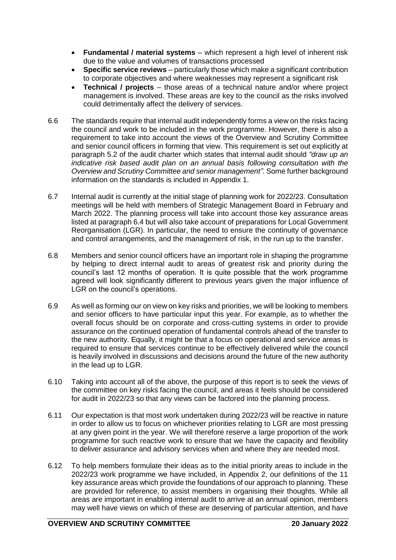- **Fundamental / material systems** which represent a high level of inherent risk due to the value and volumes of transactions processed
- **Specific service reviews** particularly those which make a significant contribution to corporate objectives and where weaknesses may represent a significant risk
- **Technical / projects** those areas of a technical nature and/or where project management is involved. These areas are key to the council as the risks involved could detrimentally affect the delivery of services.
- 6.6 The standards require that internal audit independently forms a view on the risks facing the council and work to be included in the work programme. However, there is also a requirement to take into account the views of the Overview and Scrutiny Committee and senior council officers in forming that view. This requirement is set out explicitly at paragraph 5.2 of the audit charter which states that internal audit should *"draw up an indicative risk based audit plan on an annual basis following consultation with the Overview and Scrutiny Committee and senior management".* Some further background information on the standards is included in Appendix 1.
- 6.7 Internal audit is currently at the initial stage of planning work for 2022/23. Consultation meetings will be held with members of Strategic Management Board in February and March 2022. The planning process will take into account those key assurance areas listed at paragraph 6.4 but will also take account of preparations for Local Government Reorganisation (LGR). In particular, the need to ensure the continuity of governance and control arrangements, and the management of risk, in the run up to the transfer.
- 6.8 Members and senior council officers have an important role in shaping the programme by helping to direct internal audit to areas of greatest risk and priority during the council's last 12 months of operation. It is quite possible that the work programme agreed will look significantly different to previous years given the major influence of LGR on the council's operations.
- 6.9 As well as forming our on view on key risks and priorities, we will be looking to members and senior officers to have particular input this year. For example, as to whether the overall focus should be on corporate and cross-cutting systems in order to provide assurance on the continued operation of fundamental controls ahead of the transfer to the new authority. Equally, it might be that a focus on operational and service areas is required to ensure that services continue to be effectively delivered while the council is heavily involved in discussions and decisions around the future of the new authority in the lead up to LGR.
- 6.10 Taking into account all of the above, the purpose of this report is to seek the views of the committee on key risks facing the council, and areas it feels should be considered for audit in 2022/23 so that any views can be factored into the planning process.
- 6.11 Our expectation is that most work undertaken during 2022/23 will be reactive in nature in order to allow us to focus on whichever priorities relating to LGR are most pressing at any given point in the year. We will therefore reserve a large proportion of the work programme for such reactive work to ensure that we have the capacity and flexibility to deliver assurance and advisory services when and where they are needed most.
- 6.12 To help members formulate their ideas as to the initial priority areas to include in the 2022/23 work programme we have included, in Appendix 2, our definitions of the 11 key assurance areas which provide the foundations of our approach to planning. These are provided for reference, to assist members in organising their thoughts. While all areas are important in enabling internal audit to arrive at an annual opinion, members may well have views on which of these are deserving of particular attention, and have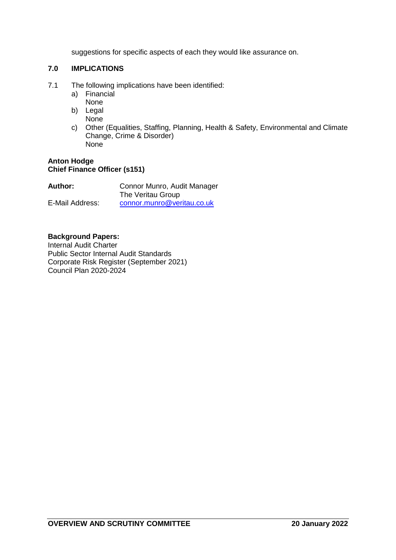suggestions for specific aspects of each they would like assurance on.

# **7.0 IMPLICATIONS**

- 7.1 The following implications have been identified:
	- a) Financial
	- None
	- b) Legal None
	- c) Other (Equalities, Staffing, Planning, Health & Safety, Environmental and Climate Change, Crime & Disorder) None

# **Anton Hodge Chief Finance Officer (s151)**

| <b>Author:</b>  | Connor Munro, Audit Manager |
|-----------------|-----------------------------|
|                 | The Veritau Group           |
| E-Mail Address: | connor.munro@veritau.co.uk  |

# **Background Papers:**

Internal Audit Charter Public Sector Internal Audit Standards Corporate Risk Register (September 2021) Council Plan 2020-2024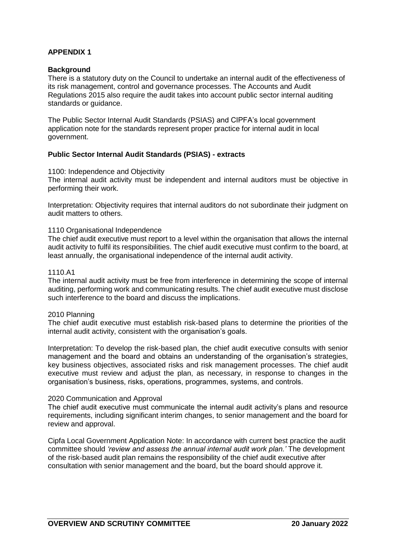# **APPENDIX 1**

## **Background**

There is a statutory duty on the Council to undertake an internal audit of the effectiveness of its risk management, control and governance processes. The Accounts and Audit Regulations 2015 also require the audit takes into account public sector internal auditing standards or guidance.

The Public Sector Internal Audit Standards (PSIAS) and CIPFA's local government application note for the standards represent proper practice for internal audit in local government.

## **Public Sector Internal Audit Standards (PSIAS) - extracts**

### 1100: Independence and Objectivity

The internal audit activity must be independent and internal auditors must be objective in performing their work.

Interpretation: Objectivity requires that internal auditors do not subordinate their judgment on audit matters to others.

### 1110 Organisational Independence

The chief audit executive must report to a level within the organisation that allows the internal audit activity to fulfil its responsibilities. The chief audit executive must confirm to the board, at least annually, the organisational independence of the internal audit activity.

### 1110.A1

The internal audit activity must be free from interference in determining the scope of internal auditing, performing work and communicating results. The chief audit executive must disclose such interference to the board and discuss the implications.

### 2010 Planning

The chief audit executive must establish risk-based plans to determine the priorities of the internal audit activity, consistent with the organisation's goals.

Interpretation: To develop the risk-based plan, the chief audit executive consults with senior management and the board and obtains an understanding of the organisation's strategies, key business objectives, associated risks and risk management processes. The chief audit executive must review and adjust the plan, as necessary, in response to changes in the organisation's business, risks, operations, programmes, systems, and controls.

## 2020 Communication and Approval

The chief audit executive must communicate the internal audit activity's plans and resource requirements, including significant interim changes, to senior management and the board for review and approval.

Cipfa Local Government Application Note: In accordance with current best practice the audit committee should *'review and assess the annual internal audit work plan.'* The development of the risk-based audit plan remains the responsibility of the chief audit executive after consultation with senior management and the board, but the board should approve it.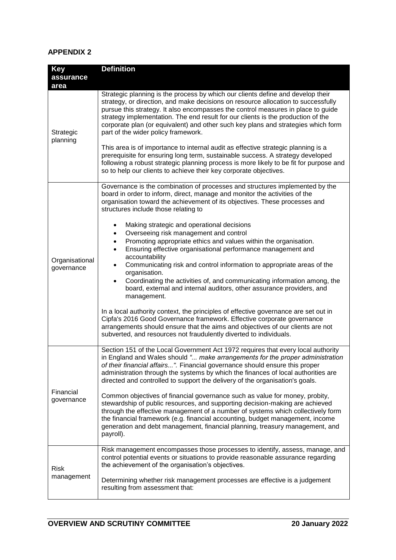# **APPENDIX 2**

| <b>Key</b>                | <b>Definition</b>                                                                                                                                                                                                                                                                                                                                                                                                                                                                                                                                                                                                                                                                                                                                                                                              |
|---------------------------|----------------------------------------------------------------------------------------------------------------------------------------------------------------------------------------------------------------------------------------------------------------------------------------------------------------------------------------------------------------------------------------------------------------------------------------------------------------------------------------------------------------------------------------------------------------------------------------------------------------------------------------------------------------------------------------------------------------------------------------------------------------------------------------------------------------|
| assurance                 |                                                                                                                                                                                                                                                                                                                                                                                                                                                                                                                                                                                                                                                                                                                                                                                                                |
| area                      |                                                                                                                                                                                                                                                                                                                                                                                                                                                                                                                                                                                                                                                                                                                                                                                                                |
| Strategic<br>planning     | Strategic planning is the process by which our clients define and develop their<br>strategy, or direction, and make decisions on resource allocation to successfully<br>pursue this strategy. It also encompasses the control measures in place to guide<br>strategy implementation. The end result for our clients is the production of the<br>corporate plan (or equivalent) and other such key plans and strategies which form<br>part of the wider policy framework.<br>This area is of importance to internal audit as effective strategic planning is a<br>prerequisite for ensuring long term, sustainable success. A strategy developed<br>following a robust strategic planning process is more likely to be fit for purpose and<br>so to help our clients to achieve their key corporate objectives. |
|                           | Governance is the combination of processes and structures implemented by the                                                                                                                                                                                                                                                                                                                                                                                                                                                                                                                                                                                                                                                                                                                                   |
|                           | board in order to inform, direct, manage and monitor the activities of the<br>organisation toward the achievement of its objectives. These processes and<br>structures include those relating to                                                                                                                                                                                                                                                                                                                                                                                                                                                                                                                                                                                                               |
|                           | Making strategic and operational decisions<br>$\bullet$                                                                                                                                                                                                                                                                                                                                                                                                                                                                                                                                                                                                                                                                                                                                                        |
|                           | Overseeing risk management and control<br>٠                                                                                                                                                                                                                                                                                                                                                                                                                                                                                                                                                                                                                                                                                                                                                                    |
|                           | Promoting appropriate ethics and values within the organisation.<br>٠                                                                                                                                                                                                                                                                                                                                                                                                                                                                                                                                                                                                                                                                                                                                          |
|                           | Ensuring effective organisational performance management and<br>$\bullet$<br>accountability                                                                                                                                                                                                                                                                                                                                                                                                                                                                                                                                                                                                                                                                                                                    |
| Organisational            | Communicating risk and control information to appropriate areas of the<br>٠                                                                                                                                                                                                                                                                                                                                                                                                                                                                                                                                                                                                                                                                                                                                    |
| governance                | organisation.                                                                                                                                                                                                                                                                                                                                                                                                                                                                                                                                                                                                                                                                                                                                                                                                  |
|                           | Coordinating the activities of, and communicating information among, the<br>$\bullet$                                                                                                                                                                                                                                                                                                                                                                                                                                                                                                                                                                                                                                                                                                                          |
|                           | board, external and internal auditors, other assurance providers, and                                                                                                                                                                                                                                                                                                                                                                                                                                                                                                                                                                                                                                                                                                                                          |
|                           | management.                                                                                                                                                                                                                                                                                                                                                                                                                                                                                                                                                                                                                                                                                                                                                                                                    |
|                           | In a local authority context, the principles of effective governance are set out in                                                                                                                                                                                                                                                                                                                                                                                                                                                                                                                                                                                                                                                                                                                            |
|                           | Cipfa's 2016 Good Governance framework. Effective corporate governance                                                                                                                                                                                                                                                                                                                                                                                                                                                                                                                                                                                                                                                                                                                                         |
|                           | arrangements should ensure that the aims and objectives of our clients are not                                                                                                                                                                                                                                                                                                                                                                                                                                                                                                                                                                                                                                                                                                                                 |
|                           | subverted, and resources not fraudulently diverted to individuals.                                                                                                                                                                                                                                                                                                                                                                                                                                                                                                                                                                                                                                                                                                                                             |
|                           | Section 151 of the Local Government Act 1972 requires that every local authority                                                                                                                                                                                                                                                                                                                                                                                                                                                                                                                                                                                                                                                                                                                               |
|                           | in England and Wales should " make arrangements for the proper administration                                                                                                                                                                                                                                                                                                                                                                                                                                                                                                                                                                                                                                                                                                                                  |
|                           | of their financial affairs". Financial governance should ensure this proper                                                                                                                                                                                                                                                                                                                                                                                                                                                                                                                                                                                                                                                                                                                                    |
|                           | administration through the systems by which the finances of local authorities are                                                                                                                                                                                                                                                                                                                                                                                                                                                                                                                                                                                                                                                                                                                              |
|                           | directed and controlled to support the delivery of the organisation's goals.                                                                                                                                                                                                                                                                                                                                                                                                                                                                                                                                                                                                                                                                                                                                   |
| Financial                 | Common objectives of financial governance such as value for money, probity,                                                                                                                                                                                                                                                                                                                                                                                                                                                                                                                                                                                                                                                                                                                                    |
| governance                | stewardship of public resources, and supporting decision-making are achieved                                                                                                                                                                                                                                                                                                                                                                                                                                                                                                                                                                                                                                                                                                                                   |
|                           | through the effective management of a number of systems which collectively form                                                                                                                                                                                                                                                                                                                                                                                                                                                                                                                                                                                                                                                                                                                                |
|                           | the financial framework (e.g. financial accounting, budget management, income<br>generation and debt management, financial planning, treasury management, and                                                                                                                                                                                                                                                                                                                                                                                                                                                                                                                                                                                                                                                  |
|                           | payroll).                                                                                                                                                                                                                                                                                                                                                                                                                                                                                                                                                                                                                                                                                                                                                                                                      |
|                           |                                                                                                                                                                                                                                                                                                                                                                                                                                                                                                                                                                                                                                                                                                                                                                                                                |
|                           | Risk management encompasses those processes to identify, assess, manage, and                                                                                                                                                                                                                                                                                                                                                                                                                                                                                                                                                                                                                                                                                                                                   |
| <b>Risk</b><br>management | control potential events or situations to provide reasonable assurance regarding<br>the achievement of the organisation's objectives.                                                                                                                                                                                                                                                                                                                                                                                                                                                                                                                                                                                                                                                                          |
|                           |                                                                                                                                                                                                                                                                                                                                                                                                                                                                                                                                                                                                                                                                                                                                                                                                                |
|                           | Determining whether risk management processes are effective is a judgement                                                                                                                                                                                                                                                                                                                                                                                                                                                                                                                                                                                                                                                                                                                                     |
|                           | resulting from assessment that:                                                                                                                                                                                                                                                                                                                                                                                                                                                                                                                                                                                                                                                                                                                                                                                |
|                           |                                                                                                                                                                                                                                                                                                                                                                                                                                                                                                                                                                                                                                                                                                                                                                                                                |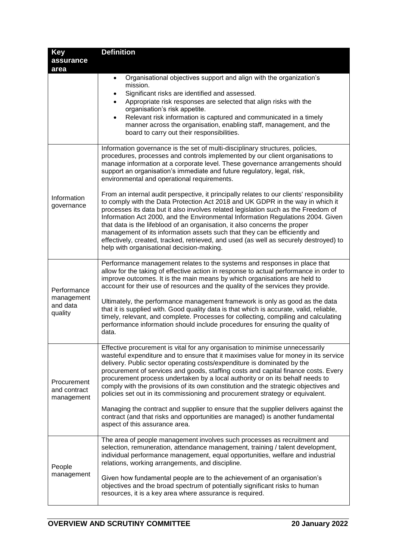| Key<br>assurance                                 | <b>Definition</b>                                                                                                                                                                                                                                                                                                                                                                                                                                                                                                                                                                                                                                                                                                                                                                                                                                                                                                                                                                                                                   |
|--------------------------------------------------|-------------------------------------------------------------------------------------------------------------------------------------------------------------------------------------------------------------------------------------------------------------------------------------------------------------------------------------------------------------------------------------------------------------------------------------------------------------------------------------------------------------------------------------------------------------------------------------------------------------------------------------------------------------------------------------------------------------------------------------------------------------------------------------------------------------------------------------------------------------------------------------------------------------------------------------------------------------------------------------------------------------------------------------|
| area                                             | Organisational objectives support and align with the organization's<br>$\bullet$<br>mission.<br>Significant risks are identified and assessed.<br>٠<br>Appropriate risk responses are selected that align risks with the<br>organisation's risk appetite.<br>Relevant risk information is captured and communicated in a timely<br>$\bullet$<br>manner across the organisation, enabling staff, management, and the<br>board to carry out their responsibilities.                                                                                                                                                                                                                                                                                                                                                                                                                                                                                                                                                                   |
| Information<br>governance                        | Information governance is the set of multi-disciplinary structures, policies,<br>procedures, processes and controls implemented by our client organisations to<br>manage information at a corporate level. These governance arrangements should<br>support an organisation's immediate and future regulatory, legal, risk,<br>environmental and operational requirements.<br>From an internal audit perspective, it principally relates to our clients' responsibility<br>to comply with the Data Protection Act 2018 and UK GDPR in the way in which it<br>processes its data but it also involves related legislation such as the Freedom of<br>Information Act 2000, and the Environmental Information Regulations 2004. Given<br>that data is the lifeblood of an organisation, it also concerns the proper<br>management of its information assets such that they can be efficiently and<br>effectively, created, tracked, retrieved, and used (as well as securely destroyed) to<br>help with organisational decision-making. |
| Performance<br>management<br>and data<br>quality | Performance management relates to the systems and responses in place that<br>allow for the taking of effective action in response to actual performance in order to<br>improve outcomes. It is the main means by which organisations are held to<br>account for their use of resources and the quality of the services they provide.<br>Ultimately, the performance management framework is only as good as the data<br>that it is supplied with. Good quality data is that which is accurate, valid, reliable,<br>timely, relevant, and complete. Processes for collecting, compiling and calculating<br>performance information should include procedures for ensuring the quality of<br>data.                                                                                                                                                                                                                                                                                                                                    |
| Procurement<br>and contract<br>management        | Effective procurement is vital for any organisation to minimise unnecessarily<br>wasteful expenditure and to ensure that it maximises value for money in its service<br>delivery. Public sector operating costs/expenditure is dominated by the<br>procurement of services and goods, staffing costs and capital finance costs. Every<br>procurement process undertaken by a local authority or on its behalf needs to<br>comply with the provisions of its own constitution and the strategic objectives and<br>policies set out in its commissioning and procurement strategy or equivalent.<br>Managing the contract and supplier to ensure that the supplier delivers against the<br>contract (and that risks and opportunities are managed) is another fundamental<br>aspect of this assurance area.                                                                                                                                                                                                                           |
| People<br>management                             | The area of people management involves such processes as recruitment and<br>selection, remuneration, attendance management, training / talent development,<br>individual performance management, equal opportunities, welfare and industrial<br>relations, working arrangements, and discipline.<br>Given how fundamental people are to the achievement of an organisation's<br>objectives and the broad spectrum of potentially significant risks to human<br>resources, it is a key area where assurance is required.                                                                                                                                                                                                                                                                                                                                                                                                                                                                                                             |